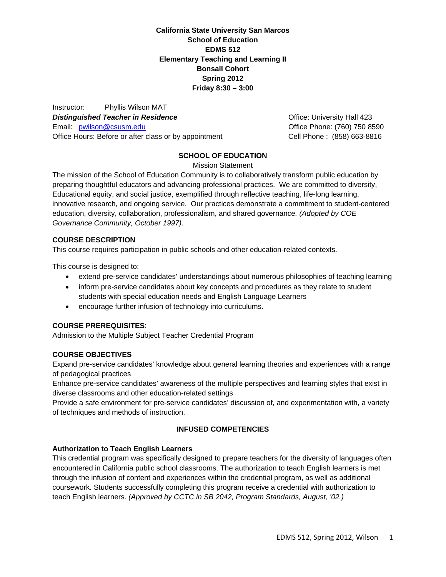**California State University San Marcos School of Education EDMS 512 Elementary Teaching and Learning II Bonsall Cohort Spring 2012 Friday 8:30 – 3:00**

Office Hours: Before or after class or by appointment Cell Phone : (858) 663-8816 Instructor: Phyllis Wilson MAT **Distinguished Teacher in Residence Community Contract Contract Contract Contract Contract Contract Contract Contract Contract Contract Contract Contract Contract Contract Contract Contract Contract Contract Contract C** Email: pwilson@csusm.edu

Office Phone: (760) 750 8590

## **SCHOOL OF EDUCATION**

Mission Statement

The mission of the School of Education Community is to collaboratively transform public education by preparing thoughtful educators and advancing professional practices. We are committed to diversity, Educational equity, and social justice, exemplified through reflective teaching, life-long learning, innovative research, and ongoing service. Our practices demonstrate a commitment to student-centered education, diversity, collaboration, professionalism, and shared governance*. (Adopted by COE Governance Community, October 1997)*.

#### **COURSE DESCRIPTION**

This course requires participation in public schools and other education-related contexts.

This course is designed to:

- extend pre-service candidates' understandings about numerous philosophies of teaching learning
- inform pre-service candidates about key concepts and procedures as they relate to student students with special education needs and English Language Learners
- encourage further infusion of technology into curriculums.

## **COURSE PREREQUISITES**:

Admission to the Multiple Subject Teacher Credential Program

## **COURSE OBJECTIVES**

Expand pre-service candidates' knowledge about general learning theories and experiences with a range of pedagogical practices

Enhance pre-service candidates' awareness of the multiple perspectives and learning styles that exist in diverse classrooms and other education-related settings

Provide a safe environment for pre-service candidates' discussion of, and experimentation with, a variety of techniques and methods of instruction.

## **INFUSED COMPETENCIES**

## **Authorization to Teach English Learners**

This credential program was specifically designed to prepare teachers for the diversity of languages often encountered in California public school classrooms. The authorization to teach English learners is met through the infusion of content and experiences within the credential program, as well as additional coursework. Students successfully completing this program receive a credential with authorization to teach English learners. *(Approved by CCTC in SB 2042, Program Standards, August, '02.)*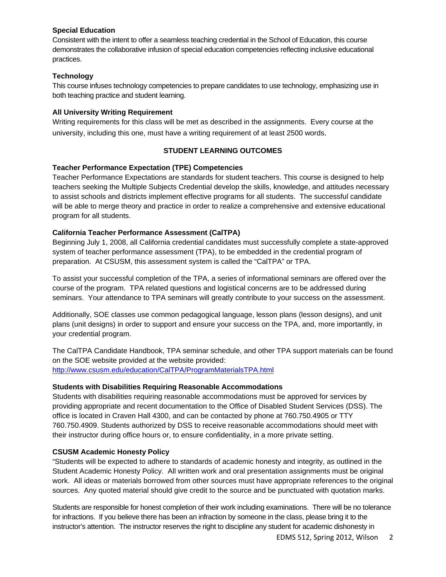## **Special Education**

Consistent with the intent to offer a seamless teaching credential in the School of Education, this course demonstrates the collaborative infusion of special education competencies reflecting inclusive educational practices.

## **Technology**

This course infuses technology competencies to prepare candidates to use technology, emphasizing use in both teaching practice and student learning.

## **All University Writing Requirement**

Writing requirements for this class will be met as described in the assignments. Every course at the university, including this one, must have a writing requirement of at least 2500 words.

## **STUDENT LEARNING OUTCOMES**

## **Teacher Performance Expectation (TPE) Competencies**

Teacher Performance Expectations are standards for student teachers. This course is designed to help teachers seeking the Multiple Subjects Credential develop the skills, knowledge, and attitudes necessary to assist schools and districts implement effective programs for all students. The successful candidate will be able to merge theory and practice in order to realize a comprehensive and extensive educational program for all students.

## **California Teacher Performance Assessment (CalTPA)**

Beginning July 1, 2008, all California credential candidates must successfully complete a state-approved system of teacher performance assessment (TPA), to be embedded in the credential program of preparation. At CSUSM, this assessment system is called the "CalTPA" or TPA.

To assist your successful completion of the TPA, a series of informational seminars are offered over the course of the program. TPA related questions and logistical concerns are to be addressed during seminars. Your attendance to TPA seminars will greatly contribute to your success on the assessment.

Additionally, SOE classes use common pedagogical language, lesson plans (lesson designs), and unit plans (unit designs) in order to support and ensure your success on the TPA, and, more importantly, in your credential program.

The CalTPA Candidate Handbook, TPA seminar schedule, and other TPA support materials can be found on the SOE website provided at the website provided: http://www.csusm.edu/education/CalTPA/ProgramMaterialsTPA.html

## **Students with Disabilities Requiring Reasonable Accommodations**

Students with disabilities requiring reasonable accommodations must be approved for services by providing appropriate and recent documentation to the Office of Disabled Student Services (DSS). The office is located in Craven Hall 4300, and can be contacted by phone at 760.750.4905 or TTY 760.750.4909. Students authorized by DSS to receive reasonable accommodations should meet with their instructor during office hours or, to ensure confidentiality, in a more private setting.

## **CSUSM Academic Honesty Policy**

"Students will be expected to adhere to standards of academic honesty and integrity, as outlined in the Student Academic Honesty Policy. All written work and oral presentation assignments must be original work. All ideas or materials borrowed from other sources must have appropriate references to the original sources. Any quoted material should give credit to the source and be punctuated with quotation marks.

Students are responsible for honest completion of their work including examinations. There will be no tolerance for infractions. If you believe there has been an infraction by someone in the class, please bring it to the instructor's attention. The instructor reserves the right to discipline any student for academic dishonesty in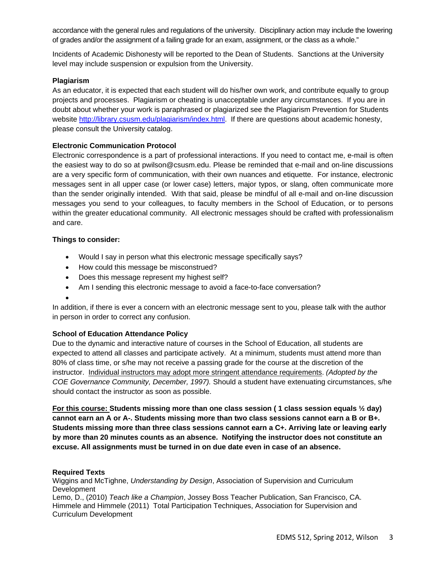accordance with the general rules and regulations of the university. Disciplinary action may include the lowering of grades and/or the assignment of a failing grade for an exam, assignment, or the class as a whole."

Incidents of Academic Dishonesty will be reported to the Dean of Students. Sanctions at the University level may include suspension or expulsion from the University.

## **Plagiarism**

As an educator, it is expected that each student will do his/her own work, and contribute equally to group projects and processes. Plagiarism or cheating is unacceptable under any circumstances. If you are in doubt about whether your work is paraphrased or plagiarized see the Plagiarism Prevention for Students website http://library.csusm.edu/plagiarism/index.html. If there are questions about academic honesty, please consult the University catalog.

## **Electronic Communication Protocol**

Electronic correspondence is a part of professional interactions. If you need to contact me, e-mail is often the easiest way to do so at pwilson@csusm.edu. Please be reminded that e-mail and on-line discussions are a very specific form of communication, with their own nuances and etiquette. For instance, electronic messages sent in all upper case (or lower case) letters, major typos, or slang, often communicate more than the sender originally intended. With that said, please be mindful of all e-mail and on-line discussion messages you send to your colleagues, to faculty members in the School of Education, or to persons within the greater educational community. All electronic messages should be crafted with professionalism and care.

#### **Things to consider:**

- Would I say in person what this electronic message specifically says?
- How could this message be misconstrued?
- Does this message represent my highest self?
- Am I sending this electronic message to avoid a face-to-face conversation?
- $\bullet$

In addition, if there is ever a concern with an electronic message sent to you, please talk with the author in person in order to correct any confusion.

## **School of Education Attendance Policy**

Due to the dynamic and interactive nature of courses in the School of Education, all students are expected to attend all classes and participate actively. At a minimum, students must attend more than 80% of class time, or s/he may not receive a passing grade for the course at the discretion of the instructor. Individual instructors may adopt more stringent attendance requirements. *(Adopted by the COE Governance Community, December, 1997).* Should a student have extenuating circumstances, s/he should contact the instructor as soon as possible.

**For this course: Students missing more than one class session ( 1 class session equals ½ day) cannot earn an A or A-. Students missing more than two class sessions cannot earn a B or B+. Students missing more than three class sessions cannot earn a C+. Arriving late or leaving early by more than 20 minutes counts as an absence. Notifying the instructor does not constitute an excuse. All assignments must be turned in on due date even in case of an absence.** 

## **Required Texts**

Wiggins and McTighne, *Understanding by Design*, Association of Supervision and Curriculum Development

Lemo, D., (2010) *Teach like a Champion*, Jossey Boss Teacher Publication, San Francisco, CA. Himmele and Himmele (2011) Total Participation Techniques, Association for Supervision and Curriculum Development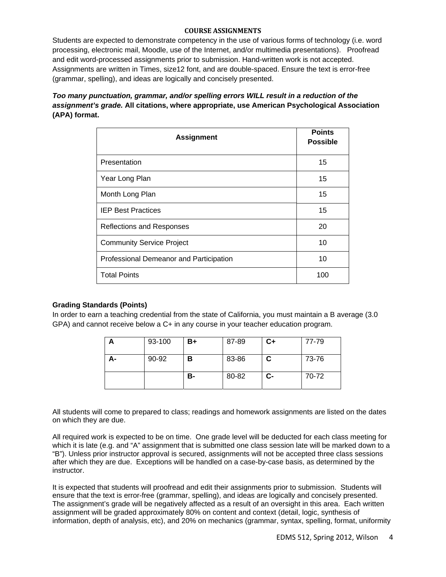#### **COURSE ASSIGNMENTS**

Students are expected to demonstrate competency in the use of various forms of technology (i.e. word processing, electronic mail, Moodle, use of the Internet, and/or multimedia presentations). Proofread and edit word-processed assignments prior to submission. Hand-written work is not accepted. Assignments are written in Times, size12 font, and are double-spaced. Ensure the text is error-free (grammar, spelling), and ideas are logically and concisely presented.

*Too many punctuation, grammar, and/or spelling errors WILL result in a reduction of the assignment's grade.* **All citations, where appropriate, use American Psychological Association (APA) format.** 

| <b>Assignment</b>                       | <b>Points</b><br><b>Possible</b> |
|-----------------------------------------|----------------------------------|
| Presentation                            | 15                               |
| Year Long Plan                          | 15                               |
| Month Long Plan                         | 15                               |
| <b>IEP Best Practices</b>               | 15                               |
| <b>Reflections and Responses</b>        | 20                               |
| <b>Community Service Project</b>        | 10                               |
| Professional Demeanor and Participation | 10                               |
| <b>Total Points</b>                     | 100                              |

#### **Grading Standards (Points)**

In order to earn a teaching credential from the state of California, you must maintain a B average (3.0 GPA) and cannot receive below a C+ in any course in your teacher education program.

|    | 93-100 | B+ | 87-89 | $C+$ | 77-79 |
|----|--------|----|-------|------|-------|
| А- | 90-92  | в  | 83-86 | C    | 73-76 |
|    |        | в- | 80-82 | $c-$ | 70-72 |

All students will come to prepared to class; readings and homework assignments are listed on the dates on which they are due.

All required work is expected to be on time. One grade level will be deducted for each class meeting for which it is late (e.g. and "A" assignment that is submitted one class session late will be marked down to a "B"). Unless prior instructor approval is secured, assignments will not be accepted three class sessions after which they are due. Exceptions will be handled on a case-by-case basis, as determined by the instructor.

It is expected that students will proofread and edit their assignments prior to submission. Students will ensure that the text is error-free (grammar, spelling), and ideas are logically and concisely presented. The assignment's grade will be negatively affected as a result of an oversight in this area. Each written assignment will be graded approximately 80% on content and context (detail, logic, synthesis of information, depth of analysis, etc), and 20% on mechanics (grammar, syntax, spelling, format, uniformity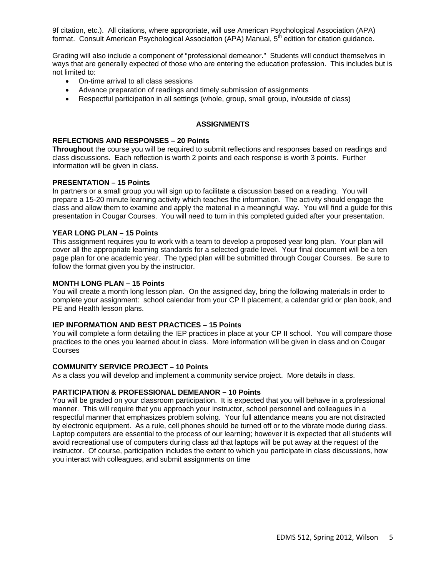9f citation, etc.). All citations, where appropriate, will use American Psychological Association (APA) format. Consult American Psychological Association (APA) Manual, 5<sup>th</sup> edition for citation guidance.

Grading will also include a component of "professional demeanor." Students will conduct themselves in ways that are generally expected of those who are entering the education profession. This includes but is not limited to:

- On-time arrival to all class sessions
- Advance preparation of readings and timely submission of assignments
- Respectful participation in all settings (whole, group, small group, in/outside of class)

## **ASSIGNMENTS**

#### **REFLECTIONS AND RESPONSES – 20 Points**

**Throughout** the course you will be required to submit reflections and responses based on readings and class discussions. Each reflection is worth 2 points and each response is worth 3 points. Further information will be given in class.

#### **PRESENTATION – 15 Points**

In partners or a small group you will sign up to facilitate a discussion based on a reading. You will prepare a 15-20 minute learning activity which teaches the information. The activity should engage the class and allow them to examine and apply the material in a meaningful way. You will find a guide for this presentation in Cougar Courses. You will need to turn in this completed guided after your presentation.

#### **YEAR LONG PLAN – 15 Points**

This assignment requires you to work with a team to develop a proposed year long plan. Your plan will cover all the appropriate learning standards for a selected grade level. Your final document will be a ten page plan for one academic year. The typed plan will be submitted through Cougar Courses. Be sure to follow the format given you by the instructor.

#### **MONTH LONG PLAN – 15 Points**

You will create a month long lesson plan. On the assigned day, bring the following materials in order to complete your assignment: school calendar from your CP II placement, a calendar grid or plan book, and PE and Health lesson plans.

#### **IEP INFORMATION AND BEST PRACTICES – 15 Points**

You will complete a form detailing the IEP practices in place at your CP II school. You will compare those practices to the ones you learned about in class. More information will be given in class and on Cougar Courses

#### **COMMUNITY SERVICE PROJECT – 10 Points**

As a class you will develop and implement a community service project. More details in class.

#### **PARTICIPATION & PROFESSIONAL DEMEANOR – 10 Points**

You will be graded on your classroom participation. It is expected that you will behave in a professional manner. This will require that you approach your instructor, school personnel and colleagues in a respectful manner that emphasizes problem solving. Your full attendance means you are not distracted by electronic equipment. As a rule, cell phones should be turned off or to the vibrate mode during class. Laptop computers are essential to the process of our learning; however it is expected that all students will avoid recreational use of computers during class ad that laptops will be put away at the request of the instructor. Of course, participation includes the extent to which you participate in class discussions, how you interact with colleagues, and submit assignments on time